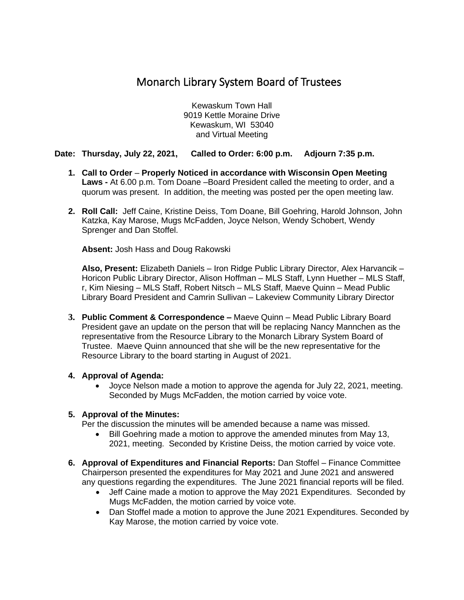# Monarch Library System Board of Trustees

Kewaskum Town Hall 9019 Kettle Moraine Drive Kewaskum, WI 53040 and Virtual Meeting

## **Date: Thursday, July 22, 2021, Called to Order: 6:00 p.m. Adjourn 7:35 p.m.**

- **1. Call to Order Properly Noticed in accordance with Wisconsin Open Meeting Laws -** At 6.00 p.m. Tom Doane –Board President called the meeting to order, and a quorum was present. In addition, the meeting was posted per the open meeting law.
- **2. Roll Call:** Jeff Caine, Kristine Deiss, Tom Doane, Bill Goehring, Harold Johnson, John Katzka, Kay Marose, Mugs McFadden, Joyce Nelson, Wendy Schobert, Wendy Sprenger and Dan Stoffel.

**Absent:** Josh Hass and Doug Rakowski

**Also, Present:** Elizabeth Daniels – Iron Ridge Public Library Director, Alex Harvancik – Horicon Public Library Director, Alison Hoffman – MLS Staff, Lynn Huether – MLS Staff, r, Kim Niesing – MLS Staff, Robert Nitsch – MLS Staff, Maeve Quinn – Mead Public Library Board President and Camrin Sullivan – Lakeview Community Library Director

**3. Public Comment & Correspondence –** Maeve Quinn – Mead Public Library Board President gave an update on the person that will be replacing Nancy Mannchen as the representative from the Resource Library to the Monarch Library System Board of Trustee. Maeve Quinn announced that she will be the new representative for the Resource Library to the board starting in August of 2021.

#### **4. Approval of Agenda:**

• Joyce Nelson made a motion to approve the agenda for July 22, 2021, meeting. Seconded by Mugs McFadden, the motion carried by voice vote.

## **5. Approval of the Minutes:**

Per the discussion the minutes will be amended because a name was missed.

- Bill Goehring made a motion to approve the amended minutes from May 13, 2021, meeting. Seconded by Kristine Deiss, the motion carried by voice vote.
- **6. Approval of Expenditures and Financial Reports:** Dan Stoffel Finance Committee Chairperson presented the expenditures for May 2021 and June 2021 and answered any questions regarding the expenditures. The June 2021 financial reports will be filed.
	- Jeff Caine made a motion to approve the May 2021 Expenditures. Seconded by Mugs McFadden, the motion carried by voice vote.
	- Dan Stoffel made a motion to approve the June 2021 Expenditures. Seconded by Kay Marose, the motion carried by voice vote.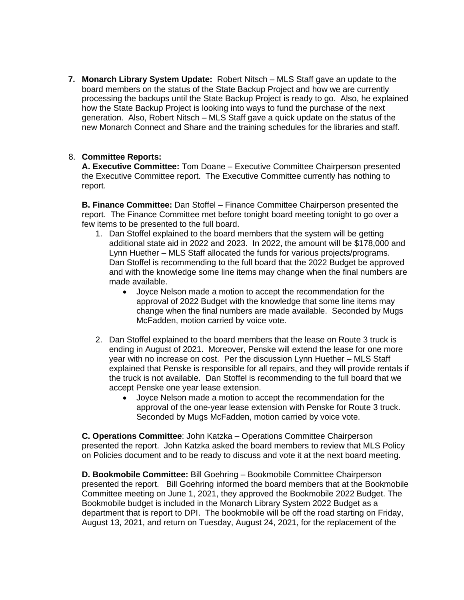**7. Monarch Library System Update:** Robert Nitsch – MLS Staff gave an update to the board members on the status of the State Backup Project and how we are currently processing the backups until the State Backup Project is ready to go. Also, he explained how the State Backup Project is looking into ways to fund the purchase of the next generation. Also, Robert Nitsch – MLS Staff gave a quick update on the status of the new Monarch Connect and Share and the training schedules for the libraries and staff.

### 8. **Committee Reports:**

**A. Executive Committee:** Tom Doane – Executive Committee Chairperson presented the Executive Committee report. The Executive Committee currently has nothing to report.

**B. Finance Committee:** Dan Stoffel – Finance Committee Chairperson presented the report. The Finance Committee met before tonight board meeting tonight to go over a few items to be presented to the full board.

- 1. Dan Stoffel explained to the board members that the system will be getting additional state aid in 2022 and 2023. In 2022, the amount will be \$178,000 and Lynn Huether – MLS Staff allocated the funds for various projects/programs. Dan Stoffel is recommending to the full board that the 2022 Budget be approved and with the knowledge some line items may change when the final numbers are made available.
	- Joyce Nelson made a motion to accept the recommendation for the approval of 2022 Budget with the knowledge that some line items may change when the final numbers are made available. Seconded by Mugs McFadden, motion carried by voice vote.
- 2. Dan Stoffel explained to the board members that the lease on Route 3 truck is ending in August of 2021. Moreover, Penske will extend the lease for one more year with no increase on cost. Per the discussion Lynn Huether – MLS Staff explained that Penske is responsible for all repairs, and they will provide rentals if the truck is not available. Dan Stoffel is recommending to the full board that we accept Penske one year lease extension.
	- Joyce Nelson made a motion to accept the recommendation for the approval of the one-year lease extension with Penske for Route 3 truck. Seconded by Mugs McFadden, motion carried by voice vote.

**C. Operations Committee**: John Katzka – Operations Committee Chairperson presented the report. John Katzka asked the board members to review that MLS Policy on Policies document and to be ready to discuss and vote it at the next board meeting.

**D. Bookmobile Committee:** Bill Goehring – Bookmobile Committee Chairperson presented the report. Bill Goehring informed the board members that at the Bookmobile Committee meeting on June 1, 2021, they approved the Bookmobile 2022 Budget. The Bookmobile budget is included in the Monarch Library System 2022 Budget as a department that is report to DPI. The bookmobile will be off the road starting on Friday, August 13, 2021, and return on Tuesday, August 24, 2021, for the replacement of the